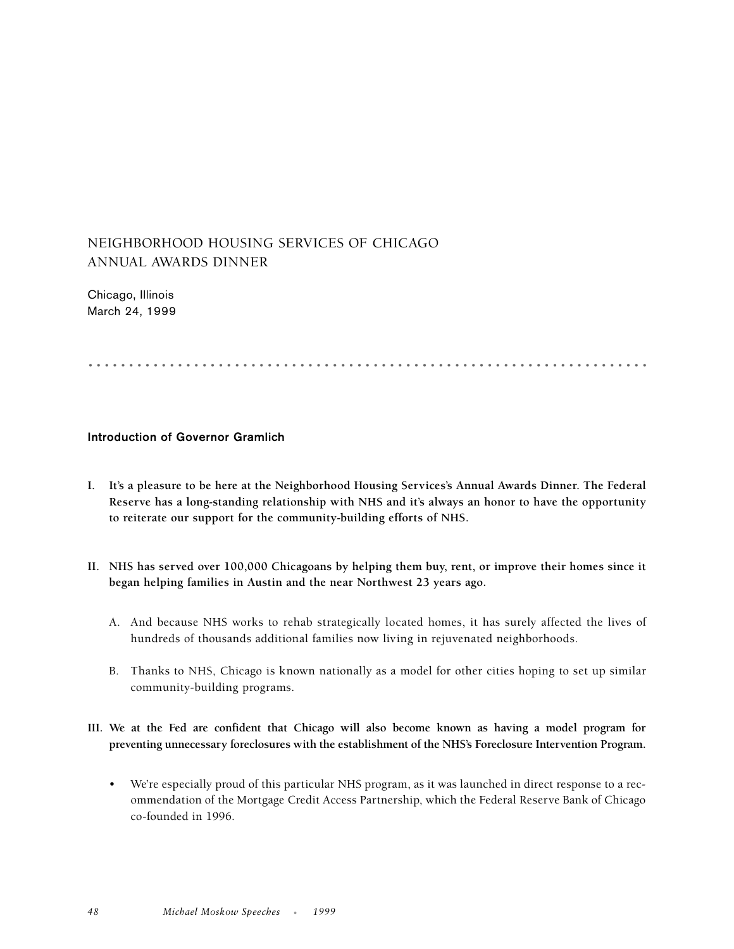## NEIGHBORHOOD HOUSING SERVICES OF CHICAGO ANNUAL AWARDS DINNER

Chicago, Illinois March 24, 1999

.....................................................................

## **Introduction of Governor Gramlich**

- **I. It's a pleasure to be here at the Neighborhood Housing Services's Annual Awards Dinner. The Federal Reserve has a long-standing relationship with NHS and it's always an honor to have the opportunity to reiterate our support for the community-building efforts of NHS.**
- **II. NHS has served over 100,000 Chicagoans by helping them buy, rent, or improve their homes since it began helping families in Austin and the near Northwest 23 years ago.**
	- A. And because NHS works to rehab strategically located homes, it has surely affected the lives of hundreds of thousands additional families now living in rejuvenated neighborhoods.
	- B. Thanks to NHS, Chicago is known nationally as a model for other cities hoping to set up similar community-building programs.
- **III. We at the Fed are confident that Chicago will also become known as having a model program for preventing unnecessary foreclosures with the establishment of the NHS's Foreclosure Intervention Program.**
	- We're especially proud of this particular NHS program, as it was launched in direct response to a recommendation of the Mortgage Credit Access Partnership, which the Federal Reserve Bank of Chicago co-founded in 1996.